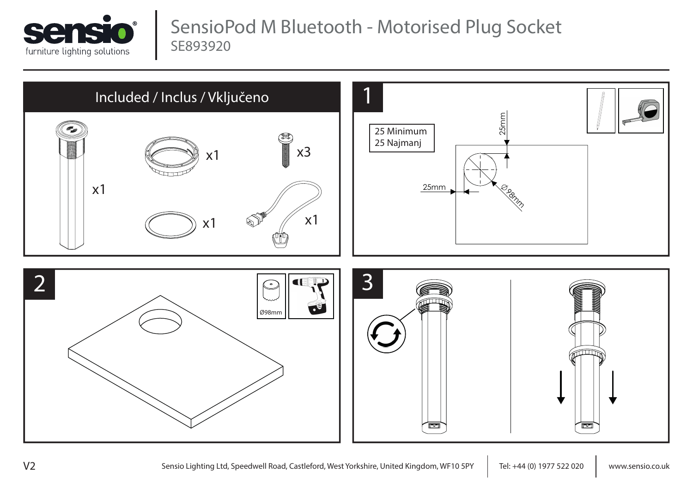

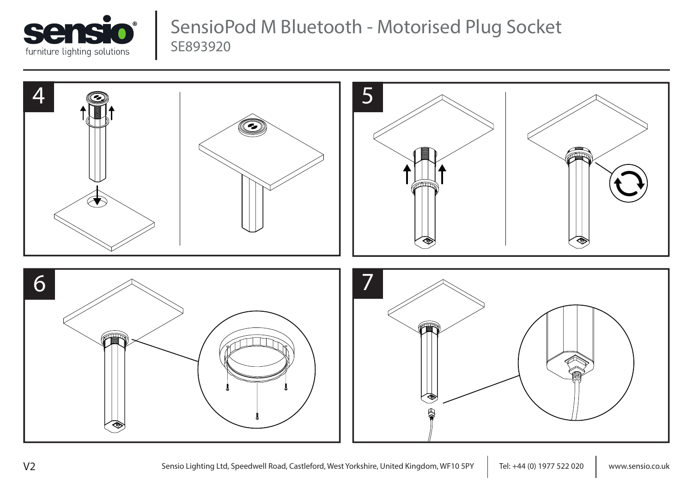

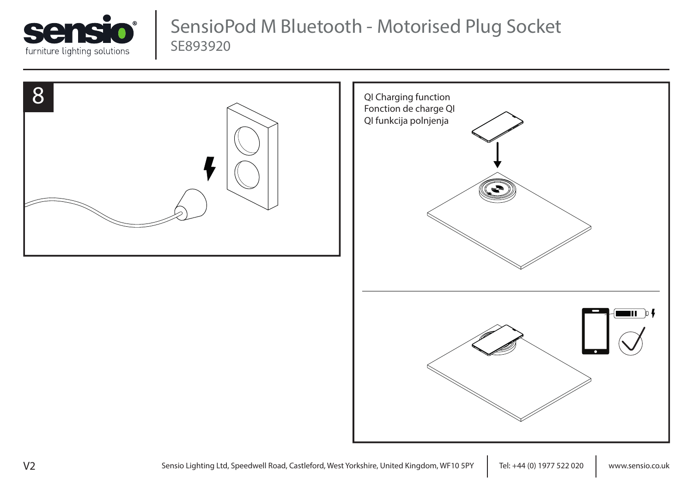



V2 Sensio Lighting Ltd, Speedwell Road, Castleford, West Yorkshire, United Kingdom, WF10 5PY | Tel: +44 (0) 1977 522 020 | www.sensio.co.uk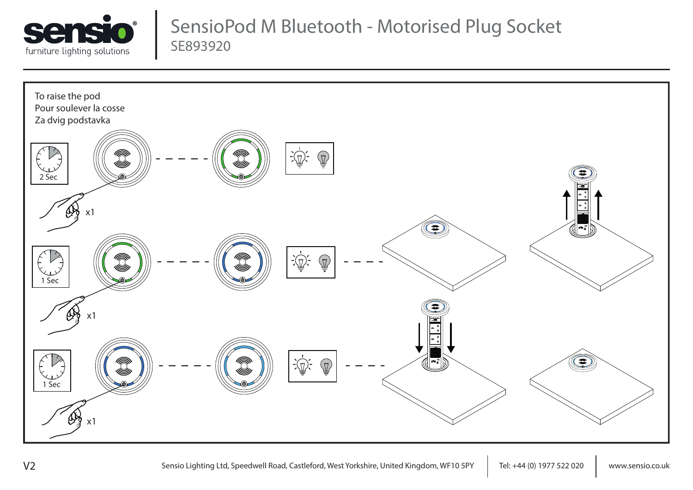

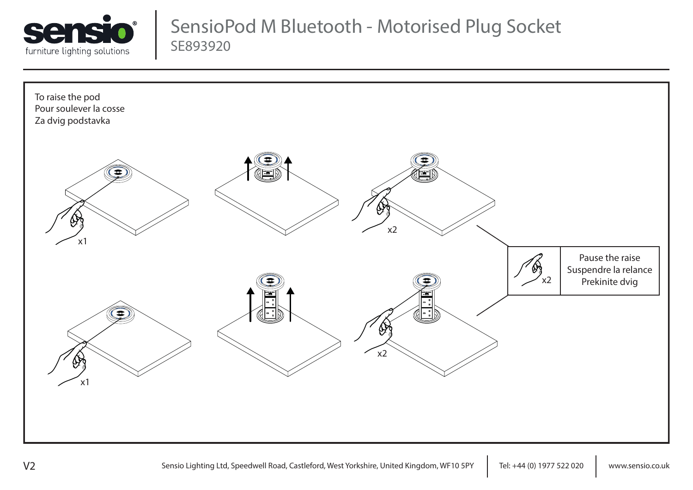

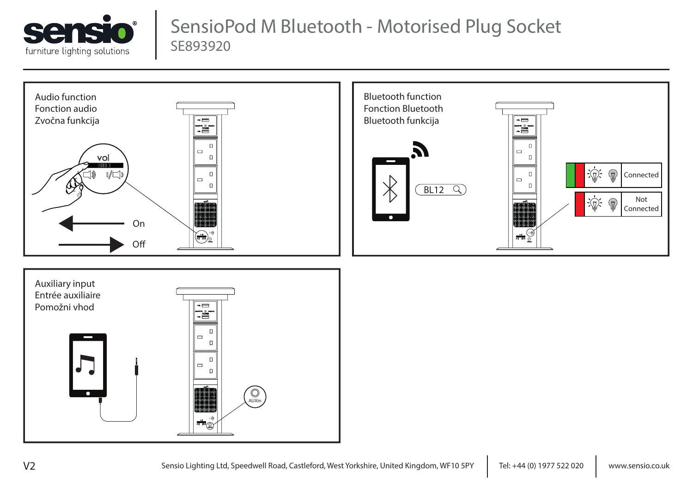





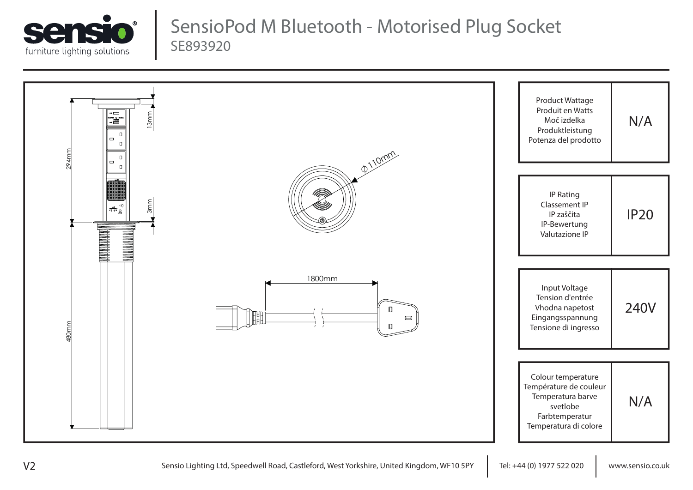

| <b>Fill</b><br>13mm<br>$\Box$<br>$\qquad \qquad \Box$<br>$\Box$<br>294mm<br>$\Box$<br>$\qquad \qquad \Box$<br>$\Box$                                                                                                                                                                                                                                                                                                                               | @110mm                                     | Product Wattage<br>Produit en Watts<br>N/A<br>Moč izdelka<br>Produktleistung<br>Potenza del prodotto                            |
|----------------------------------------------------------------------------------------------------------------------------------------------------------------------------------------------------------------------------------------------------------------------------------------------------------------------------------------------------------------------------------------------------------------------------------------------------|--------------------------------------------|---------------------------------------------------------------------------------------------------------------------------------|
| 3mm<br>$\frac{1}{\pi}\sum_{i=1}^{\infty}\frac{1}{i} \sum_{i=1}^{\infty}\frac{1}{i} \sum_{i=1}^{\infty}\frac{1}{i} \sum_{i=1}^{\infty}\frac{1}{i} \sum_{i=1}^{\infty}\frac{1}{i} \sum_{i=1}^{\infty}\frac{1}{i} \sum_{i=1}^{\infty}\frac{1}{i} \sum_{i=1}^{\infty}\frac{1}{i} \sum_{i=1}^{\infty}\frac{1}{i} \sum_{i=1}^{\infty}\frac{1}{i} \sum_{i=1}^{\infty}\frac{1}{i} \sum_{i=1}^{\infty}\frac{1$<br><b>THE REAL PROPERTY</b><br><b>THERES</b> |                                            | IP Rating<br>Classement IP<br><b>IP20</b><br>IP zaščita<br>IP-Bewertung<br>Valutazione IP                                       |
| 480mm                                                                                                                                                                                                                                                                                                                                                                                                                                              | 1800mm<br>$\Box$<br>IH<br>$\Box$<br>$\Box$ | Input Voltage<br>Tension d'entrée<br><b>240V</b><br>Vhodna napetost<br>Eingangsspannung<br>Tensione di ingresso                 |
|                                                                                                                                                                                                                                                                                                                                                                                                                                                    |                                            | Colour temperature<br>Température de couleur<br>Temperatura barve<br>N/A<br>svetlobe<br>Farbtemperatur<br>Temperatura di colore |